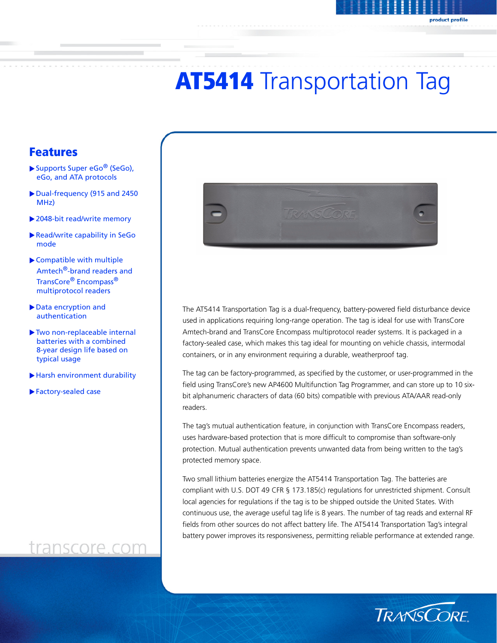# **AT5414** Transportation Tag

### Features

- ▶ Supports Super eGo<sup>®</sup> (SeGo), eGo, and ATA protocols
- Dual-frequency (915 and 2450) MHz)
- ▶ 2048-bit read/write memory
- Read/write capability in SeGo mode
- Compatible with multiple Amtech®-brand readers and TransCore® Encompass® multiprotocol readers
- Data encryption and authentication
- Two non-replaceable internal batteries with a combined 8-year design life based on typical usage
- Harsh environment durability
- Factory-sealed case

# transcore.com



The AT5414 Transportation Tag is a dual-frequency, battery-powered field disturbance device used in applications requiring long-range operation. The tag is ideal for use with TransCore Amtech-brand and TransCore Encompass multiprotocol reader systems. It is packaged in a factory-sealed case, which makes this tag ideal for mounting on vehicle chassis, intermodal containers, or in any environment requiring a durable, weatherproof tag.

The tag can be factory-programmed, as specified by the customer, or user-programmed in the field using TransCore's new AP4600 Multifunction Tag Programmer, and can store up to 10 sixbit alphanumeric characters of data (60 bits) compatible with previous ATA/AAR read-only readers.

The tag's mutual authentication feature, in conjunction with TransCore Encompass readers, uses hardware-based protection that is more difficult to compromise than software-only protection. Mutual authentication prevents unwanted data from being written to the tag's protected memory space.

Two small lithium batteries energize the AT5414 Transportation Tag. The batteries are compliant with U.S. DOT 49 CFR § 173.185(c) regulations for unrestricted shipment. Consult local agencies for regulations if the tag is to be shipped outside the United States. With continuous use, the average useful tag life is 8 years. The number of tag reads and external RF fields from other sources do not affect battery life. The AT5414 Transportation Tag's integral battery power improves its responsiveness, permitting reliable performance at extended range.